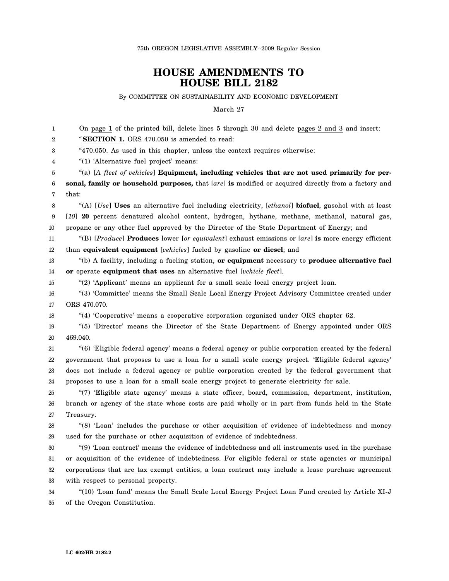## **HOUSE AMENDMENTS TO HOUSE BILL 2182**

By COMMITTEE ON SUSTAINABILITY AND ECONOMIC DEVELOPMENT

March 27

| 1     | On page 1 of the printed bill, delete lines 5 through 30 and delete pages 2 and 3 and insert:       |
|-------|-----------------------------------------------------------------------------------------------------|
| 2     | "SECTION 1. ORS 470.050 is amended to read:                                                         |
| 3     | "470.050. As used in this chapter, unless the context requires otherwise:                           |
| 4     | "(1) 'Alternative fuel project' means:                                                              |
| 5     | "(a) [A fleet of vehicles] Equipment, including vehicles that are not used primarily for per-       |
| 6     | sonal, family or household purposes, that [are] is modified or acquired directly from a factory and |
| 7     | that:                                                                                               |
| 8     | "(A) [Use] Uses an alternative fuel including electricity, [ethanol] biofuel, gasohol with at least |
| 9     | [10] 20 percent denatured alcohol content, hydrogen, hythane, methane, methanol, natural gas,       |
| 10    | propane or any other fuel approved by the Director of the State Department of Energy; and           |
| 11    | "(B) [Produce] Produces lower [or equivalent] exhaust emissions or [are] is more energy efficient   |
| 12    | than equivalent equipment [vehicles] fueled by gasoline or diesel; and                              |
| 13    | "(b) A facility, including a fueling station, or equipment necessary to produce alternative fuel    |
| 14    | or operate equipment that uses an alternative fuel [vehicle fleet].                                 |
| 15    | "(2) 'Applicant' means an applicant for a small scale local energy project loan.                    |
| 16    | "(3) 'Committee' means the Small Scale Local Energy Project Advisory Committee created under        |
| 17    | ORS 470.070.                                                                                        |
| 18    | "(4) 'Cooperative' means a cooperative corporation organized under ORS chapter 62.                  |
| 19    | "(5) 'Director' means the Director of the State Department of Energy appointed under ORS            |
| 20    | 469.040.                                                                                            |
| 21    | "(6) 'Eligible federal agency' means a federal agency or public corporation created by the federal  |
| 22    | government that proposes to use a loan for a small scale energy project. 'Eligible federal agency'  |
| 23    | does not include a federal agency or public corporation created by the federal government that      |
| $2\!$ | proposes to use a loan for a small scale energy project to generate electricity for sale.           |
| 25    | "(7) 'Eligible state agency' means a state officer, board, commission, department, institution,     |
| 26    | branch or agency of the state whose costs are paid wholly or in part from funds held in the State   |
| 27    | Treasury.                                                                                           |
| 28    | "(8) 'Loan' includes the purchase or other acquisition of evidence of indebtedness and money        |
| 29    | used for the purchase or other acquisition of evidence of indebtedness.                             |
| 30    | "(9) 'Loan contract' means the evidence of indebtedness and all instruments used in the purchase    |
| 31    | or acquisition of the evidence of indebtedness. For eligible federal or state agencies or municipal |
| 32    | corporations that are tax exempt entities, a loan contract may include a lease purchase agreement   |
| 33    | with respect to personal property.                                                                  |
| 34    | "(10) 'Loan fund' means the Small Scale Local Energy Project Loan Fund created by Article XI-J      |
| 35    | of the Oregon Constitution.                                                                         |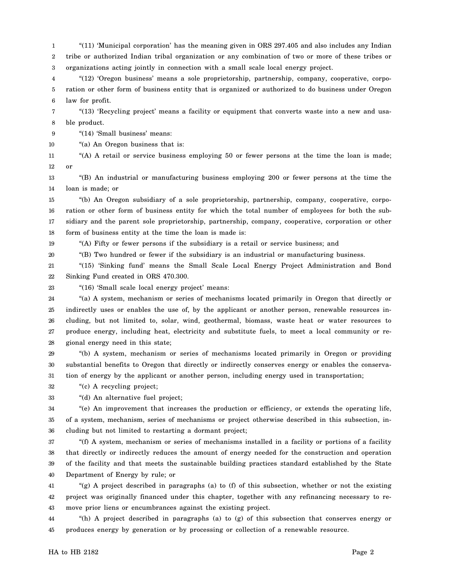1 2 3 "(11) 'Municipal corporation' has the meaning given in ORS 297.405 and also includes any Indian tribe or authorized Indian tribal organization or any combination of two or more of these tribes or organizations acting jointly in connection with a small scale local energy project.

4 5 6 "(12) 'Oregon business' means a sole proprietorship, partnership, company, cooperative, corporation or other form of business entity that is organized or authorized to do business under Oregon law for profit.

7 8 "(13) 'Recycling project' means a facility or equipment that converts waste into a new and usable product.

9 "(14) 'Small business' means:

10 "(a) An Oregon business that is:

11 12 "(A) A retail or service business employing 50 or fewer persons at the time the loan is made; or

13 14 "(B) An industrial or manufacturing business employing 200 or fewer persons at the time the loan is made; or

15 16 17 18 "(b) An Oregon subsidiary of a sole proprietorship, partnership, company, cooperative, corporation or other form of business entity for which the total number of employees for both the subsidiary and the parent sole proprietorship, partnership, company, cooperative, corporation or other form of business entity at the time the loan is made is:

19 "(A) Fifty or fewer persons if the subsidiary is a retail or service business; and

20 "(B) Two hundred or fewer if the subsidiary is an industrial or manufacturing business.

21 22 "(15) 'Sinking fund' means the Small Scale Local Energy Project Administration and Bond Sinking Fund created in ORS 470.300.

23

"(16) 'Small scale local energy project' means:

24 25 26 27 28 "(a) A system, mechanism or series of mechanisms located primarily in Oregon that directly or indirectly uses or enables the use of, by the applicant or another person, renewable resources including, but not limited to, solar, wind, geothermal, biomass, waste heat or water resources to produce energy, including heat, electricity and substitute fuels, to meet a local community or regional energy need in this state;

29 30 31 "(b) A system, mechanism or series of mechanisms located primarily in Oregon or providing substantial benefits to Oregon that directly or indirectly conserves energy or enables the conservation of energy by the applicant or another person, including energy used in transportation;

32 "(c) A recycling project;

33 "(d) An alternative fuel project;

34 35 36 "(e) An improvement that increases the production or efficiency, or extends the operating life, of a system, mechanism, series of mechanisms or project otherwise described in this subsection, including but not limited to restarting a dormant project;

37 38 39 40 "(f) A system, mechanism or series of mechanisms installed in a facility or portions of a facility that directly or indirectly reduces the amount of energy needed for the construction and operation of the facility and that meets the sustainable building practices standard established by the State Department of Energy by rule; or

41 42 43 "(g) A project described in paragraphs (a) to (f) of this subsection, whether or not the existing project was originally financed under this chapter, together with any refinancing necessary to remove prior liens or encumbrances against the existing project.

44 45 "(h) A project described in paragraphs (a) to (g) of this subsection that conserves energy or produces energy by generation or by processing or collection of a renewable resource.

 $HA$  to  $HB$  2182  $Page$  2